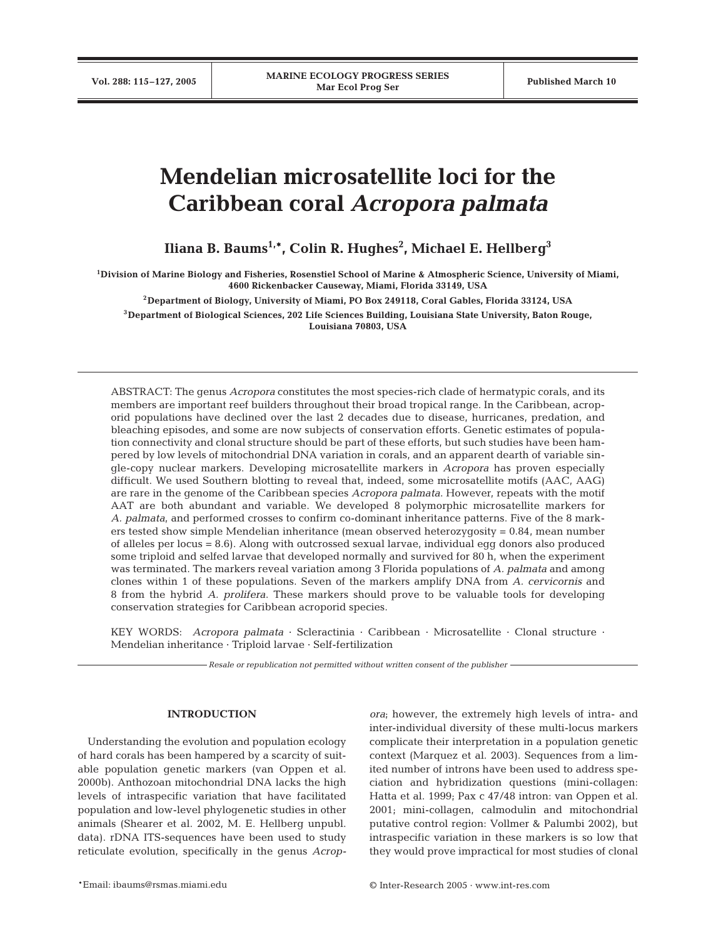# **Mendelian microsatellite loci for the Caribbean coral** *Acropora palmata*

**Iliana B. Baums1,\*, Colin R. Hughes2 , Michael E. Hellberg3**

**1Division of Marine Biology and Fisheries, Rosenstiel School of Marine & Atmospheric Science, University of Miami, 4600 Rickenbacker Causeway, Miami, Florida 33149, USA**

**2Department of Biology, University of Miami, PO Box 249118, Coral Gables, Florida 33124, USA**

**3Department of Biological Sciences, 202 Life Sciences Building, Louisiana State University, Baton Rouge, Louisiana 70803, USA**

ABSTRACT: The genus *Acropora* constitutes the most species-rich clade of hermatypic corals, and its members are important reef builders throughout their broad tropical range. In the Caribbean, acroporid populations have declined over the last 2 decades due to disease, hurricanes, predation, and bleaching episodes, and some are now subjects of conservation efforts. Genetic estimates of population connectivity and clonal structure should be part of these efforts, but such studies have been hampered by low levels of mitochondrial DNA variation in corals, and an apparent dearth of variable single-copy nuclear markers. Developing microsatellite markers in *Acropora* has proven especially difficult. We used Southern blotting to reveal that, indeed, some microsatellite motifs (AAC, AAG) are rare in the genome of the Caribbean species *Acropora palmata*. However, repeats with the motif AAT are both abundant and variable. We developed 8 polymorphic microsatellite markers for *A. palmata*, and performed crosses to confirm co-dominant inheritance patterns. Five of the 8 markers tested show simple Mendelian inheritance (mean observed heterozygosity = 0.84, mean number of alleles per locus = 8.6). Along with outcrossed sexual larvae, individual egg donors also produced some triploid and selfed larvae that developed normally and survived for 80 h, when the experiment was terminated. The markers reveal variation among 3 Florida populations of *A. palmata* and among clones within 1 of these populations. Seven of the markers amplify DNA from *A. cervicornis* and 8 from the hybrid *A. prolifera*. These markers should prove to be valuable tools for developing conservation strategies for Caribbean acroporid species.

KEY WORDS: *Acropora palmata* · Scleractinia · Caribbean · Microsatellite · Clonal structure · Mendelian inheritance · Triploid larvae · Self-fertilization

*Resale or republication not permitted without written consent of the publisher*

### **INTRODUCTION**

Understanding the evolution and population ecology of hard corals has been hampered by a scarcity of suitable population genetic markers (van Oppen et al. 2000b). Anthozoan mitochondrial DNA lacks the high levels of intraspecific variation that have facilitated population and low-level phylogenetic studies in other animals (Shearer et al. 2002, M. E. Hellberg unpubl. data). rDNA ITS-sequences have been used to study reticulate evolution, specifically in the genus *Acrop-* *ora*; however, the extremely high levels of intra- and inter-individual diversity of these multi-locus markers complicate their interpretation in a population genetic context (Marquez et al. 2003). Sequences from a limited number of introns have been used to address speciation and hybridization questions (mini-collagen: Hatta et al. 1999; Pax c 47/48 intron: van Oppen et al. 2001; mini-collagen, calmodulin and mitochondrial putative control region: Vollmer & Palumbi 2002), but intraspecific variation in these markers is so low that they would prove impractical for most studies of clonal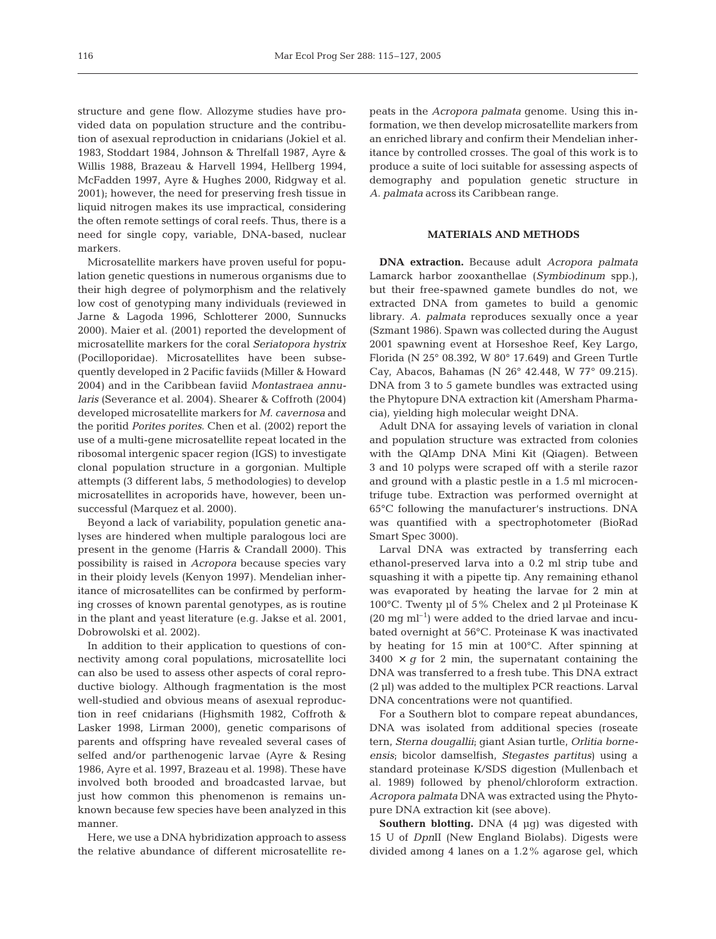structure and gene flow. Allozyme studies have provided data on population structure and the contribution of asexual reproduction in cnidarians (Jokiel et al. 1983, Stoddart 1984, Johnson & Threlfall 1987, Ayre & Willis 1988, Brazeau & Harvell 1994, Hellberg 1994, McFadden 1997, Ayre & Hughes 2000, Ridgway et al. 2001); however, the need for preserving fresh tissue in liquid nitrogen makes its use impractical, considering the often remote settings of coral reefs. Thus, there is a need for single copy, variable, DNA-based, nuclear markers.

Microsatellite markers have proven useful for population genetic questions in numerous organisms due to their high degree of polymorphism and the relatively low cost of genotyping many individuals (reviewed in Jarne & Lagoda 1996, Schlotterer 2000, Sunnucks 2000). Maier et al. (2001) reported the development of microsatellite markers for the coral *Seriatopora hystrix* (Pocilloporidae). Microsatellites have been subsequently developed in 2 Pacific faviids (Miller & Howard 2004) and in the Caribbean faviid *Montastraea annularis* (Severance et al. 2004). Shearer & Coffroth (2004) developed microsatellite markers for *M. cavernosa* and the poritid *Porites porites*. Chen et al. (2002) report the use of a multi-gene microsatellite repeat located in the ribosomal intergenic spacer region (IGS) to investigate clonal population structure in a gorgonian. Multiple attempts (3 different labs, 5 methodologies) to develop microsatellites in acroporids have, however, been unsuccessful (Marquez et al. 2000).

Beyond a lack of variability, population genetic analyses are hindered when multiple paralogous loci are present in the genome (Harris & Crandall 2000). This possibility is raised in *Acropora* because species vary in their ploidy levels (Kenyon 1997). Mendelian inheritance of microsatellites can be confirmed by performing crosses of known parental genotypes, as is routine in the plant and yeast literature (e.g. Jakse et al. 2001, Dobrowolski et al. 2002).

In addition to their application to questions of connectivity among coral populations, microsatellite loci can also be used to assess other aspects of coral reproductive biology. Although fragmentation is the most well-studied and obvious means of asexual reproduction in reef cnidarians (Highsmith 1982, Coffroth & Lasker 1998, Lirman 2000), genetic comparisons of parents and offspring have revealed several cases of selfed and/or parthenogenic larvae (Ayre & Resing 1986, Ayre et al. 1997, Brazeau et al. 1998). These have involved both brooded and broadcasted larvae, but just how common this phenomenon is remains unknown because few species have been analyzed in this manner.

Here, we use a DNA hybridization approach to assess the relative abundance of different microsatellite repeats in the *Acropora palmata* genome. Using this information, we then develop microsatellite markers from an enriched library and confirm their Mendelian inheritance by controlled crosses. The goal of this work is to produce a suite of loci suitable for assessing aspects of demography and population genetic structure in *A. palmata* across its Caribbean range.

# **MATERIALS AND METHODS**

**DNA extraction.** Because adult *Acropora palmata* Lamarck harbor zooxanthellae (*Symbiodinum* spp.), but their free-spawned gamete bundles do not, we extracted DNA from gametes to build a genomic library. *A. palmata* reproduces sexually once a year (Szmant 1986). Spawn was collected during the August 2001 spawning event at Horseshoe Reef, Key Largo, Florida (N 25° 08.392, W 80° 17.649) and Green Turtle Cay, Abacos, Bahamas (N 26° 42.448, W 77° 09.215). DNA from 3 to 5 gamete bundles was extracted using the Phytopure DNA extraction kit (Amersham Pharmacia), yielding high molecular weight DNA.

Adult DNA for assaying levels of variation in clonal and population structure was extracted from colonies with the QIAmp DNA Mini Kit (Qiagen). Between 3 and 10 polyps were scraped off with a sterile razor and ground with a plastic pestle in a 1.5 ml microcentrifuge tube. Extraction was performed overnight at 65°C following the manufacturer's instructions. DNA was quantified with a spectrophotometer (BioRad Smart Spec 3000).

Larval DNA was extracted by transferring each ethanol-preserved larva into a 0.2 ml strip tube and squashing it with a pipette tip. Any remaining ethanol was evaporated by heating the larvae for 2 min at 100°C. Twenty µl of 5% Chelex and 2 µl Proteinase K  $(20 \text{ mg ml}^{-1})$  were added to the dried larvae and incubated overnight at 56°C. Proteinase K was inactivated by heating for 15 min at 100°C. After spinning at  $3400 \times q$  for 2 min, the supernatant containing the DNA was transferred to a fresh tube. This DNA extract (2 µl) was added to the multiplex PCR reactions. Larval DNA concentrations were not quantified.

For a Southern blot to compare repeat abundances, DNA was isolated from additional species (roseate tern, *Sterna dougallii*; giant Asian turtle, *Orlitia borneensis*; bicolor damselfish, *Stegastes partitus*) using a standard proteinase K/SDS digestion (Mullenbach et al. 1989) followed by phenol/chloroform extraction. *Acropora palmata* DNA was extracted using the Phytopure DNA extraction kit (see above).

**Southern blotting.** DNA (4 µg) was digested with 15 U of *Dpn*II (New England Biolabs). Digests were divided among 4 lanes on a 1.2% agarose gel, which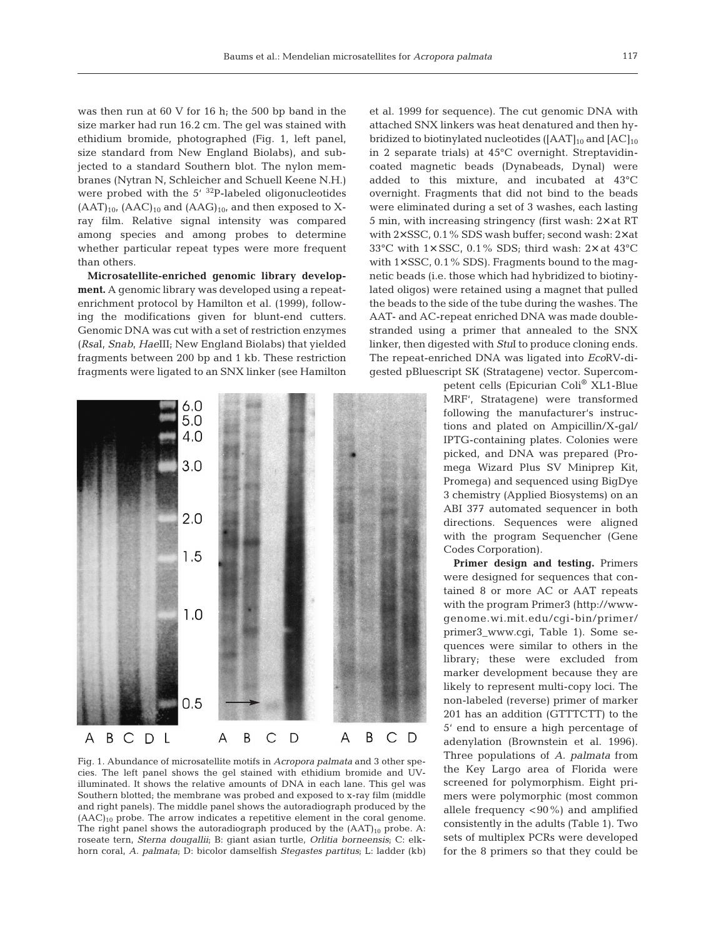was then run at 60 V for 16 h; the 500 bp band in the size marker had run 16.2 cm. The gel was stained with ethidium bromide, photographed (Fig. 1, left panel, size standard from New England Biolabs), and subjected to a standard Southern blot. The nylon membranes (Nytran N, Schleicher and Schuell Keene N.H.) were probed with the  $5'$   $32P$ -labeled oligonucleotides  $(AAT)_{10}$ ,  $(AAC)_{10}$  and  $(AAG)_{10}$ , and then exposed to Xray film. Relative signal intensity was compared among species and among probes to determine whether particular repeat types were more frequent than others.

**Microsatellite-enriched genomic library development.** A genomic library was developed using a repeatenrichment protocol by Hamilton et al. (1999), following the modifications given for blunt-end cutters. Genomic DNA was cut with a set of restriction enzymes (*Rsa*I, *Snab*, *Hae*III; New England Biolabs) that yielded fragments between 200 bp and 1 kb. These restriction fragments were ligated to an SNX linker (see Hamilton



Fig. 1. Abundance of microsatellite motifs in *Acropora palmata* and 3 other species. The left panel shows the gel stained with ethidium bromide and UVilluminated. It shows the relative amounts of DNA in each lane. This gel was Southern blotted; the membrane was probed and exposed to x-ray film (middle and right panels). The middle panel shows the autoradiograph produced by the  $(AAC)_{10}$  probe. The arrow indicates a repetitive element in the coral genome. The right panel shows the autoradiograph produced by the  $(AAT)_{10}$  probe. A: roseate tern, *Sterna dougallii*; B: giant asian turtle, *Orlitia borneensis*; C: elkhorn coral, *A. palmata*; D: bicolor damselfish *Stegastes partitus*; L: ladder (kb)

et al. 1999 for sequence). The cut genomic DNA with attached SNX linkers was heat denatured and then hybridized to biotinylated nucleotides ( $[AAT]_{10}$  and  $[AC]_{10}$ in 2 separate trials) at 45°C overnight. Streptavidincoated magnetic beads (Dynabeads, Dynal) were added to this mixture, and incubated at 43°C overnight. Fragments that did not bind to the beads were eliminated during a set of 3 washes, each lasting 5 min, with increasing stringency (first wash: 2× at RT with 2× SSC, 0.1% SDS wash buffer; second wash: 2× at 33°C with  $1 \times$  SSC, 0.1% SDS; third wash:  $2 \times$  at 43°C with  $1\times$  SSC, 0.1% SDS). Fragments bound to the magnetic beads (i.e. those which had hybridized to biotinylated oligos) were retained using a magnet that pulled the beads to the side of the tube during the washes. The AAT- and AC-repeat enriched DNA was made doublestranded using a primer that annealed to the SNX linker, then digested with *Stu*I to produce cloning ends. The repeat-enriched DNA was ligated into *Eco*RV-digested pBluescript SK (Stratagene) vector. Supercom-

> petent cells (Epicurian Coli® XL1-Blue MRF', Stratagene) were transformed following the manufacturer's instructions and plated on Ampicillin/X-gal/ IPTG-containing plates. Colonies were picked, and DNA was prepared (Promega Wizard Plus SV Miniprep Kit, Promega) and sequenced using BigDye 3 chemistry (Applied Biosystems) on an ABI 377 automated sequencer in both directions. Sequences were aligned with the program Sequencher (Gene Codes Corporation).

> **Primer design and testing.** Primers were designed for sequences that contained 8 or more AC or AAT repeats with the program Primer3 (http://wwwgenome.wi.mit.edu/cgi-bin/primer/ primer3\_www.cgi, Table 1). Some sequences were similar to others in the library; these were excluded from marker development because they are likely to represent multi-copy loci. The non-labeled (reverse) primer of marker 201 has an addition (GTTTCTT) to the 5' end to ensure a high percentage of adenylation (Brownstein et al. 1996). Three populations of *A. palmata* from the Key Largo area of Florida were screened for polymorphism. Eight primers were polymorphic (most common allele frequency <90%) and amplified consistently in the adults (Table 1). Two sets of multiplex PCRs were developed for the 8 primers so that they could be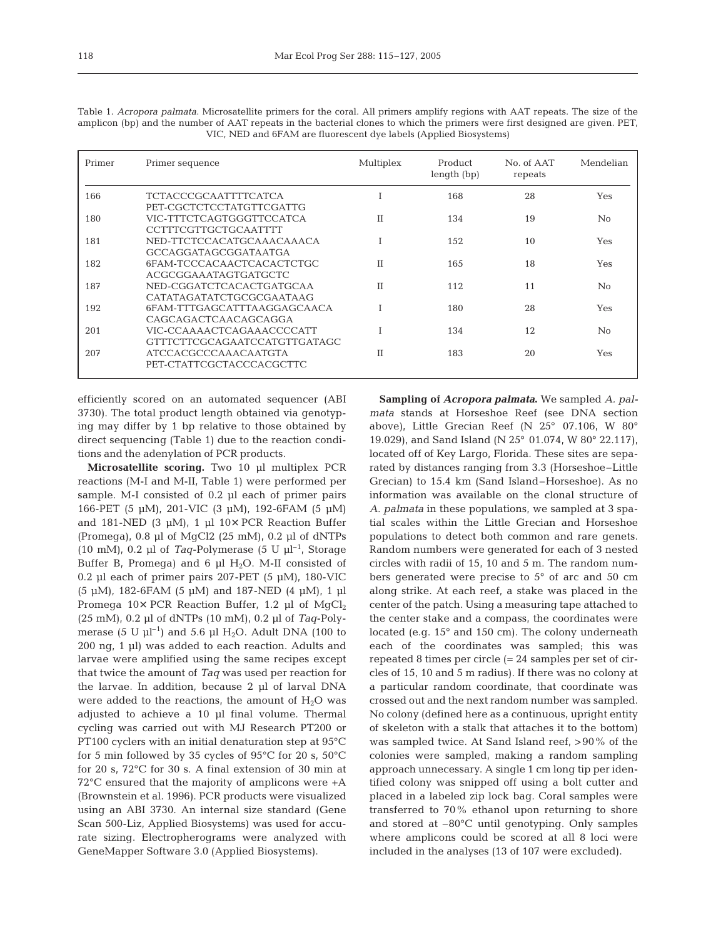| Primer | Primer sequence                                           | Multiplex   | Product<br>length (bp) | No. of AAT<br>repeats | Mendelian |
|--------|-----------------------------------------------------------|-------------|------------------------|-----------------------|-----------|
| 166    | <b>TCTACCCGCAATTTTCATCA</b><br>PET-CGCTCTCCTATGTTCGATTG   |             | 168                    | 28                    | Yes       |
| 180    | VIC-TTTCTCAGTGGGTTCCATCA<br><b>CCTTTCGTTGCTGCAATTTT</b>   | H           | 134                    | 19                    | No        |
| 181    | NED-TTCTCCACATGCAAACAAACA<br>GCCAGGATAGCGGATAATGA         |             | 152                    | 10                    | Yes       |
| 182    | 6FAM-TCCCACAACTCACACTCTGC<br>ACGCGGAAATAGTGATGCTC         | $_{\rm II}$ | 165                    | 18                    | Yes       |
| 187    | NED-CGGATCTCACACTGATGCAA<br>CATATAGATATCTGCGCGAATAAG      | T           | 112                    | 11                    | No        |
| 192    | 6FAM-TTTGAGCATTTAAGGAGCAACA<br>CAGCAGACTCAACAGCAGGA       |             | 180                    | 28                    | Yes       |
| 201    | VIC-CCAAAACTCAGAAACCCCATT<br>GTTTCTTCGCAGAATCCATGTTGATAGC |             | 134                    | 12                    | No.       |
| 207    | <b>ATCCACGCCCAAACAATGTA</b><br>PET-CTATTCGCTACCCACGCTTC   | Н           | 183                    | 20                    | Yes       |

Table 1. *Acropora palmata*. Microsatellite primers for the coral. All primers amplify regions with AAT repeats. The size of the amplicon (bp) and the number of AAT repeats in the bacterial clones to which the primers were first designed are given. PET, VIC, NED and 6FAM are fluorescent dye labels (Applied Biosystems)

efficiently scored on an automated sequencer (ABI 3730). The total product length obtained via genotyping may differ by 1 bp relative to those obtained by direct sequencing (Table 1) due to the reaction conditions and the adenylation of PCR products.

**Microsatellite scoring.** Two 10 µl multiplex PCR reactions (M-I and M-II, Table 1) were performed per sample. M-I consisted of 0.2 µl each of primer pairs 166-PET (5 µM), 201-VIC (3 µM), 192-6FAM (5 µM) and 181-NED (3  $\mu$ M), 1  $\mu$ l 10× PCR Reaction Buffer (Promega), 0.8 µl of MgCl2 (25 mM), 0.2 µl of dNTPs (10 mM), 0.2 µl of *Taq*-Polymerase (5 U  $\mu$ l<sup>-1</sup>, Storage Buffer B, Promega) and 6  $\mu$ l H<sub>2</sub>O. M-II consisted of 0.2 µl each of primer pairs  $207$ -PET (5 µM), 180-VIC (5 µM), 182-6FAM (5 µM) and 187-NED (4 µM), 1 µl Promega  $10\times$  PCR Reaction Buffer, 1.2 µl of MgCl<sub>2</sub> (25 mM), 0.2 µl of dNTPs (10 mM), 0.2 µl of *Taq*-Polymerase (5 U  $\mu$ l<sup>-1</sup>) and 5.6  $\mu$ l H<sub>2</sub>O. Adult DNA (100 to 200 ng, 1 µl) was added to each reaction. Adults and larvae were amplified using the same recipes except that twice the amount of *Taq* was used per reaction for the larvae. In addition, because 2 µl of larval DNA were added to the reactions, the amount of  $H_2O$  was adjusted to achieve a 10 µl final volume. Thermal cycling was carried out with MJ Research PT200 or PT100 cyclers with an initial denaturation step at 95°C for 5 min followed by 35 cycles of 95°C for 20 s, 50°C for 20 s, 72°C for 30 s. A final extension of 30 min at 72°C ensured that the majority of amplicons were +A (Brownstein et al. 1996). PCR products were visualized using an ABI 3730. An internal size standard (Gene Scan 500-Liz, Applied Biosystems) was used for accurate sizing. Electropherograms were analyzed with GeneMapper Software 3.0 (Applied Biosystems).

**Sampling of** *Acropora palmata***.** We sampled *A. palmata* stands at Horseshoe Reef (see DNA section above), Little Grecian Reef (N 25° 07.106, W 80° 19.029), and Sand Island (N 25° 01.074, W 80° 22.117), located off of Key Largo, Florida. These sites are separated by distances ranging from 3.3 (Horseshoe–Little Grecian) to 15.4 km (Sand Island–Horseshoe). As no information was available on the clonal structure of *A. palmata* in these populations, we sampled at 3 spatial scales within the Little Grecian and Horseshoe populations to detect both common and rare genets. Random numbers were generated for each of 3 nested circles with radii of 15, 10 and 5 m. The random numbers generated were precise to 5° of arc and 50 cm along strike. At each reef, a stake was placed in the center of the patch. Using a measuring tape attached to the center stake and a compass, the coordinates were located (e.g. 15° and 150 cm). The colony underneath each of the coordinates was sampled; this was repeated 8 times per circle (= 24 samples per set of circles of 15, 10 and 5 m radius). If there was no colony at a particular random coordinate, that coordinate was crossed out and the next random number was sampled. No colony (defined here as a continuous, upright entity of skeleton with a stalk that attaches it to the bottom) was sampled twice. At Sand Island reef, >90% of the colonies were sampled, making a random sampling approach unnecessary. A single 1 cm long tip per identified colony was snipped off using a bolt cutter and placed in a labeled zip lock bag. Coral samples were transferred to 70% ethanol upon returning to shore and stored at –80°C until genotyping. Only samples where amplicons could be scored at all 8 loci were included in the analyses (13 of 107 were excluded).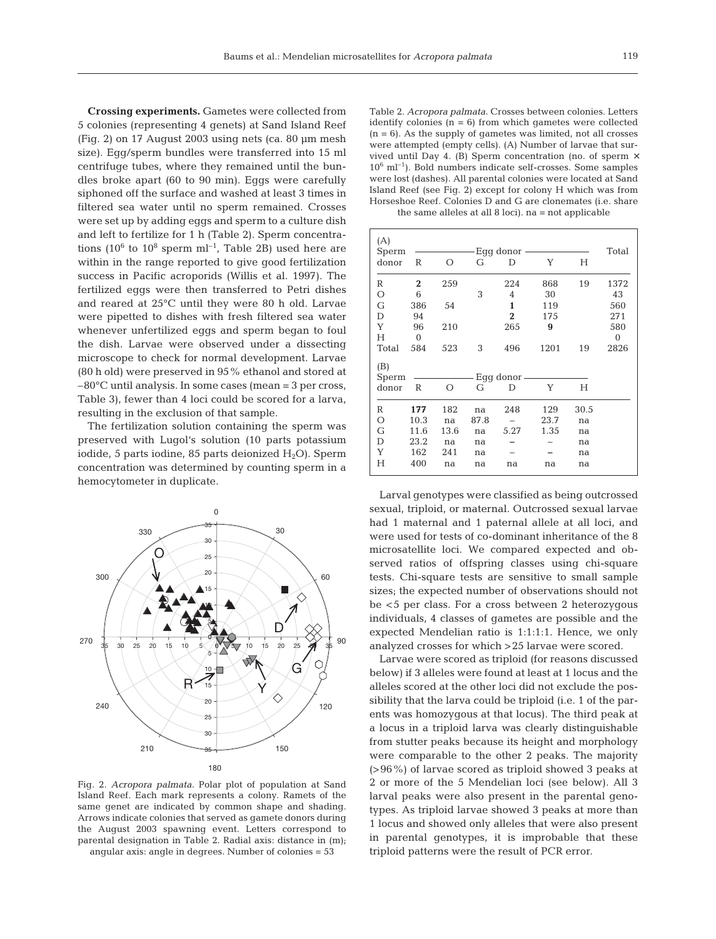**Crossing experiments.** Gametes were collected from 5 colonies (representing 4 genets) at Sand Island Reef (Fig. 2) on 17 August 2003 using nets (ca. 80 µm mesh size). Egg/sperm bundles were transferred into 15 ml centrifuge tubes, where they remained until the bundles broke apart (60 to 90 min). Eggs were carefully siphoned off the surface and washed at least 3 times in filtered sea water until no sperm remained. Crosses were set up by adding eggs and sperm to a culture dish and left to fertilize for 1 h (Table 2). Sperm concentrations ( $10^6$  to  $10^8$  sperm ml<sup>-1</sup>, Table 2B) used here are within in the range reported to give good fertilization success in Pacific acroporids (Willis et al. 1997). The fertilized eggs were then transferred to Petri dishes and reared at 25°C until they were 80 h old. Larvae were pipetted to dishes with fresh filtered sea water whenever unfertilized eggs and sperm began to foul the dish. Larvae were observed under a dissecting microscope to check for normal development. Larvae (80 h old) were preserved in 95% ethanol and stored at  $-80^{\circ}$ C until analysis. In some cases (mean = 3 per cross, Table 3), fewer than 4 loci could be scored for a larva, resulting in the exclusion of that sample.

The fertilization solution containing the sperm was preserved with Lugol's solution (10 parts potassium iodide, 5 parts iodine, 85 parts deionized  $H_2O$ ). Sperm concentration was determined by counting sperm in a hemocytometer in duplicate.



Fig. 2. *Acropora palmata*. Polar plot of population at Sand Island Reef. Each mark represents a colony. Ramets of the same genet are indicated by common shape and shading. Arrows indicate colonies that served as gamete donors during the August 2003 spawning event. Letters correspond to parental designation in Table 2. Radial axis: distance in (m); angular axis: angle in degrees. Number of colonies = 53

Table 2. *Acropora palmata*. Crosses between colonies. Letters identify colonies  $(n = 6)$  from which gametes were collected  $(n = 6)$ . As the supply of gametes was limited, not all crosses were attempted (empty cells). (A) Number of larvae that survived until Day 4. (B) Sperm concentration (no. of sperm  $\times$  $10^6$  ml<sup>-1</sup>). Bold numbers indicate self-crosses. Some samples were lost (dashes). All parental colonies were located at Sand Island Reef (see Fig. 2) except for colony H which was from Horseshoe Reef. Colonies D and G are clonemates (i.e. share the same alleles at all 8 loci). na = not applicable

| (A)<br>Sperm |                  |          |      | Egg donor      |      |      | Total        |
|--------------|------------------|----------|------|----------------|------|------|--------------|
| donor        | R                | $\Omega$ | G    | D              | Y    | H    |              |
| R            | $\boldsymbol{2}$ | 259      |      | 224            | 868  | 19   | 1372         |
| $\circ$      | 6                |          | 3    | 4              | 30   |      | 43           |
| G            | 386              | 54       |      | 1              | 119  |      | 560          |
| D            | 94               |          |      | $\overline{2}$ | 175  |      | 271          |
| Y            | 96               | 210      |      | 265            | 9    |      | 580          |
| Н            | $\mathbf{0}$     |          |      |                |      |      | $\mathbf{0}$ |
| Total        | 584              | 523      | 3    | 496            | 1201 | 19   | 2826         |
| (B)          |                  |          |      |                |      |      |              |
| Sperm        |                  |          |      | Egg donor -    |      |      |              |
| donor        | R                | $\Omega$ | G    | D              | Y    | H    |              |
| R            | 177              | 182      | na   | 248            | 129  | 30.5 |              |
| $\circ$      | 10.3             | na       | 87.8 |                | 23.7 | na   |              |
| G            | 11.6             | 13.6     | na   | 5.27           | 1.35 | na   |              |
| D            | 23.2             | na       | na   |                |      | na   |              |
| Y            | 162              | 241      | na   |                |      | na   |              |
| Н            | 400              | na       | na   | na             | na   | na   |              |
|              |                  |          |      |                |      |      |              |

Larval genotypes were classified as being outcrossed sexual, triploid, or maternal. Outcrossed sexual larvae had 1 maternal and 1 paternal allele at all loci, and were used for tests of co-dominant inheritance of the 8 microsatellite loci. We compared expected and observed ratios of offspring classes using chi-square tests. Chi-square tests are sensitive to small sample sizes; the expected number of observations should not be <5 per class. For a cross between 2 heterozygous individuals, 4 classes of gametes are possible and the expected Mendelian ratio is 1:1:1:1. Hence, we only analyzed crosses for which >25 larvae were scored.

Larvae were scored as triploid (for reasons discussed below) if 3 alleles were found at least at 1 locus and the alleles scored at the other loci did not exclude the possibility that the larva could be triploid (i.e. 1 of the parents was homozygous at that locus). The third peak at a locus in a triploid larva was clearly distinguishable from stutter peaks because its height and morphology were comparable to the other 2 peaks. The majority (>96%) of larvae scored as triploid showed 3 peaks at 2 or more of the 5 Mendelian loci (see below). All 3 larval peaks were also present in the parental genotypes. As triploid larvae showed 3 peaks at more than 1 locus and showed only alleles that were also present in parental genotypes, it is improbable that these triploid patterns were the result of PCR error.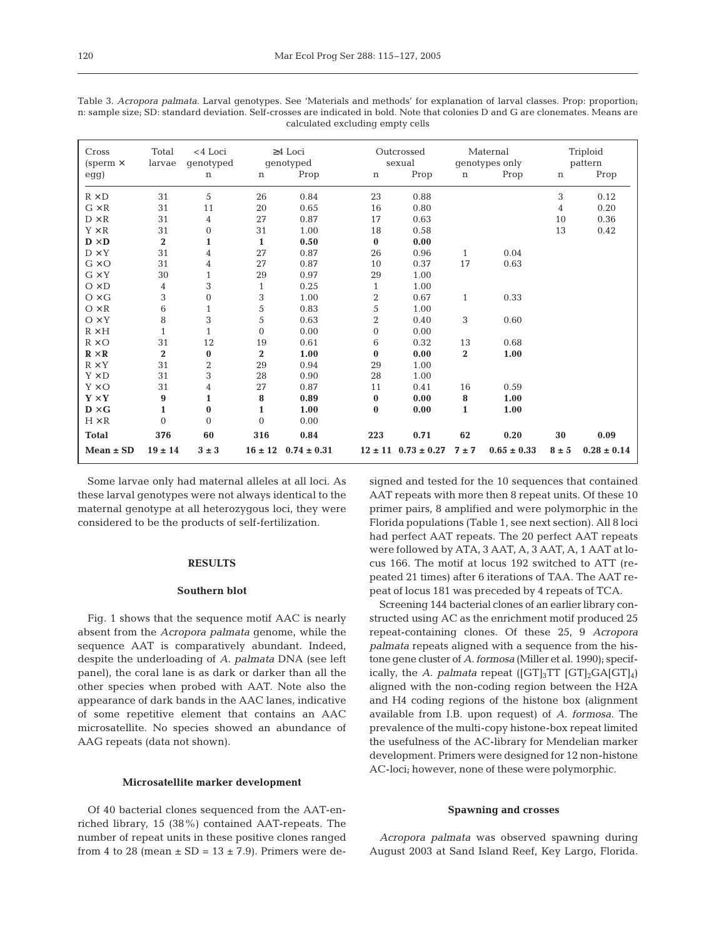| Cross                          | Total                   | $<$ 4 Loci     |                  | $\geq$ 4 Loci               |                         | Outcrossed                  |              | Maternal        |             | Triploid        |
|--------------------------------|-------------------------|----------------|------------------|-----------------------------|-------------------------|-----------------------------|--------------|-----------------|-------------|-----------------|
| (sperm $\times$                | larvae                  | genotyped      |                  | genotyped                   |                         | sexual                      |              | genotypes only  |             | pattern         |
| egg)                           |                         | n              | $\mathbf n$      | Prop                        | $\mathbf n$             | Prop                        | $\mathbf n$  | Prop            | $\mathbf n$ | Prop            |
| $R \times D$                   | 31                      | 5              | 26               | 0.84                        | 23                      | 0.88                        |              |                 | 3           | 0.12            |
| $G \times R$                   | 31                      | 11             | 20               | 0.65                        | 16                      | 0.80                        |              |                 | 4           | 0.20            |
| $D \times R$                   | 31                      | 4              | 27               | 0.87                        | 17                      | 0.63                        |              |                 | 10          | 0.36            |
| $Y \times R$                   | 31                      | 0              | 31               | 1.00                        | 18                      | 0.58                        |              |                 | 13          | 0.42            |
| $\mathbf{D} \times \mathbf{D}$ | $\overline{\mathbf{2}}$ | $\mathbf{1}$   | $\mathbf{1}$     | 0.50                        | $\bf{0}$                | 0.00                        |              |                 |             |                 |
| $D \times Y$                   | 31                      | 4              | 27               | 0.87                        | 26                      | 0.96                        | $\mathbf{1}$ | 0.04            |             |                 |
| $G \times O$                   | 31                      | 4              | 27               | 0.87                        | 10                      | 0.37                        | 17           | 0.63            |             |                 |
| $G \times Y$                   | 30                      | $\mathbf{1}$   | 29               | 0.97                        | 29                      | 1.00                        |              |                 |             |                 |
| $O \times D$                   | 4                       | 3              | $\mathbf{1}$     | 0.25                        | $\mathbf{1}$            | 1.00                        |              |                 |             |                 |
| $O \times G$                   | 3                       | $\overline{0}$ | 3                | 1.00                        | $\overline{\mathbf{c}}$ | 0.67                        | $\mathbf{1}$ | 0.33            |             |                 |
| $O \times R$                   | 6                       | $\mathbf{1}$   | 5                | 0.83                        | 5                       | 1.00                        |              |                 |             |                 |
| $O \times Y$                   | 8                       | 3              | 5                | 0.63                        | $\overline{2}$          | 0.40                        | 3            | 0.60            |             |                 |
| $R \times H$                   | $\mathbf{1}$            | $\mathbf{1}$   | $\boldsymbol{0}$ | 0.00                        | $\boldsymbol{0}$        | 0.00                        |              |                 |             |                 |
| $R \times O$                   | 31                      | 12             | 19               | 0.61                        | 6                       | 0.32                        | 13           | 0.68            |             |                 |
| $\mathbf{R} \times \mathbf{R}$ | $\bf{2}$                | $\bf{0}$       | $\boldsymbol{2}$ | 1.00                        | $\bf{0}$                | 0.00                        | $\bf{2}$     | 1.00            |             |                 |
| $R \times Y$                   | 31                      | $\overline{2}$ | 29               | 0.94                        | 29                      | 1.00                        |              |                 |             |                 |
| $Y \times D$                   | 31                      | 3              | 28               | 0.90                        | 28                      | 1.00                        |              |                 |             |                 |
| $Y \times O$                   | 31                      | 4              | 27               | 0.87                        | 11                      | 0.41                        | 16           | 0.59            |             |                 |
| ${\bf Y} \times {\bf Y}$       | 9                       | $\mathbf{1}$   | 8                | 0.89                        | $\bf{0}$                | 0.00                        | 8            | 1.00            |             |                 |
| $\mathbf{D} \times \mathbf{G}$ | $\mathbf{1}$            | $\bf{0}$       | $\mathbf{1}$     | 1.00                        | $\bf{0}$                | 0.00                        | $\mathbf{1}$ | 1.00            |             |                 |
| $H \times R$                   | $\mathbf{0}$            | $\mathbf{0}$   | $\mathbf{0}$     | 0.00                        |                         |                             |              |                 |             |                 |
| <b>Total</b>                   | 376                     | 60             | 316              | 0.84                        | 223                     | 0.71                        | 62           | 0.20            | 30          | 0.09            |
| $Mean \pm SD$                  | $19 \pm 14$             | $3 \pm 3$      |                  | $16 \pm 12$ $0.74 \pm 0.31$ |                         | $12 \pm 11$ $0.73 \pm 0.27$ | $7 + 7$      | $0.65 \pm 0.33$ | $8 \pm 5$   | $0.28 \pm 0.14$ |

Table 3. *Acropora palmata*. Larval genotypes. See 'Materials and methods' for explanation of larval classes. Prop: proportion; n: sample size; SD: standard deviation. Self-crosses are indicated in bold. Note that colonies D and G are clonemates. Means are calculated excluding empty cells

Some larvae only had maternal alleles at all loci. As these larval genotypes were not always identical to the maternal genotype at all heterozygous loci, they were considered to be the products of self-fertilization.

### **RESULTS**

# **Southern blot**

Fig. 1 shows that the sequence motif AAC is nearly absent from the *Acropora palmata* genome, while the sequence AAT is comparatively abundant. Indeed, despite the underloading of *A. palmata* DNA (see left panel), the coral lane is as dark or darker than all the other species when probed with AAT. Note also the appearance of dark bands in the AAC lanes, indicative of some repetitive element that contains an AAC microsatellite. No species showed an abundance of AAG repeats (data not shown).

# **Microsatellite marker development**

Of 40 bacterial clones sequenced from the AAT-enriched library, 15 (38%) contained AAT-repeats. The number of repeat units in these positive clones ranged from 4 to 28 (mean  $\pm$  SD = 13  $\pm$  7.9). Primers were designed and tested for the 10 sequences that contained AAT repeats with more then 8 repeat units. Of these 10 primer pairs, 8 amplified and were polymorphic in the Florida populations (Table 1, see next section). All 8 loci had perfect AAT repeats. The 20 perfect AAT repeats were followed by ATA, 3 AAT, A, 3 AAT, A, 1 AAT at locus 166. The motif at locus 192 switched to ATT (repeated 21 times) after 6 iterations of TAA. The AAT repeat of locus 181 was preceded by 4 repeats of TCA.

Screening 144 bacterial clones of an earlier library constructed using AC as the enrichment motif produced 25 repeat-containing clones. Of these 25, 9 *Acropora palmata* repeats aligned with a sequence from the histone gene cluster of *A. formosa* (Miller et al. 1990); specifically, the *A. palmata* repeat  $([GT]_3TT$   $[GT]_2GA[GT]_4)$ aligned with the non-coding region between the H2A and H4 coding regions of the histone box (alignment available from I.B. upon request) of *A. formosa*. The prevalence of the multi-copy histone-box repeat limited the usefulness of the AC-library for Mendelian marker development. Primers were designed for 12 non-histone AC-loci; however, none of these were polymorphic.

### **Spawning and crosses**

*Acropora palmata* was observed spawning during August 2003 at Sand Island Reef, Key Largo, Florida.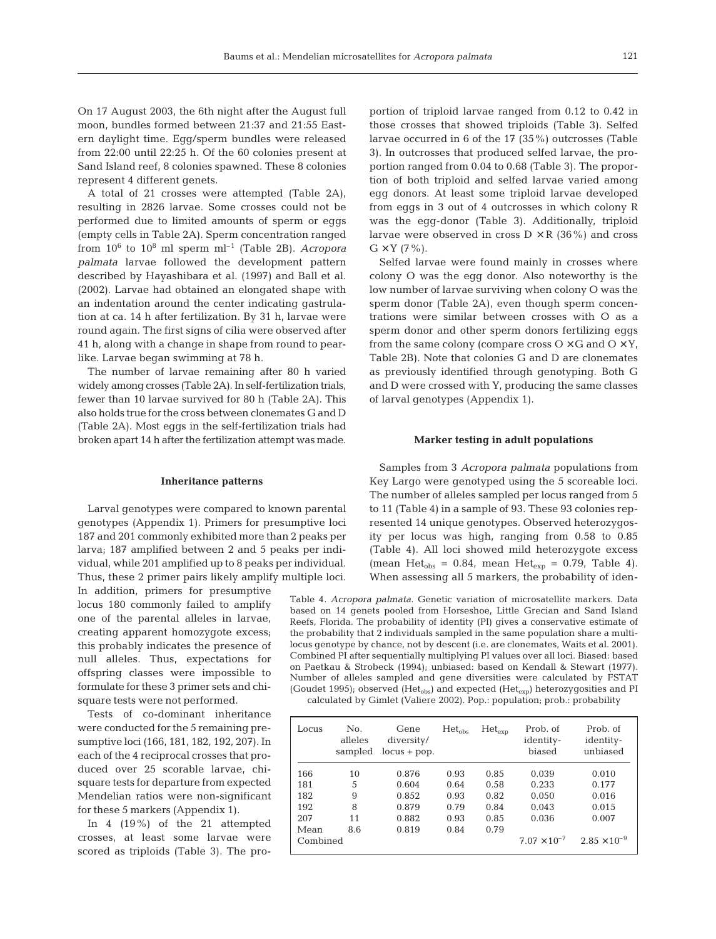On 17 August 2003, the 6th night after the August full moon, bundles formed between 21:37 and 21:55 Eastern daylight time. Egg/sperm bundles were released from 22:00 until 22:25 h. Of the 60 colonies present at Sand Island reef, 8 colonies spawned. These 8 colonies represent 4 different genets.

A total of 21 crosses were attempted (Table 2A), resulting in 2826 larvae. Some crosses could not be performed due to limited amounts of sperm or eggs (empty cells in Table 2A). Sperm concentration ranged from  $10^6$  to  $10^8$  ml sperm  $ml^{-1}$  (Table 2B). *Acropora palmata* larvae followed the development pattern described by Hayashibara et al. (1997) and Ball et al. (2002). Larvae had obtained an elongated shape with an indentation around the center indicating gastrulation at ca. 14 h after fertilization. By 31 h, larvae were round again. The first signs of cilia were observed after 41 h, along with a change in shape from round to pearlike. Larvae began swimming at 78 h.

The number of larvae remaining after 80 h varied widely among crosses (Table 2A). In self-fertilization trials, fewer than 10 larvae survived for 80 h (Table 2A). This also holds true for the cross between clonemates G and D (Table 2A). Most eggs in the self-fertilization trials had broken apart 14 h after the fertilization attempt was made.

#### **Inheritance patterns**

Larval genotypes were compared to known parental genotypes (Appendix 1). Primers for presumptive loci 187 and 201 commonly exhibited more than 2 peaks per larva; 187 amplified between 2 and 5 peaks per individual, while 201 amplified up to 8 peaks per individual. Thus, these 2 primer pairs likely amplify multiple loci.

In addition, primers for presumptive locus 180 commonly failed to amplify one of the parental alleles in larvae, creating apparent homozygote excess; this probably indicates the presence of null alleles. Thus, expectations for offspring classes were impossible to formulate for these 3 primer sets and chisquare tests were not performed.

Tests of co-dominant inheritance were conducted for the 5 remaining presumptive loci (166, 181, 182, 192, 207). In each of the 4 reciprocal crosses that produced over 25 scorable larvae, chisquare tests for departure from expected Mendelian ratios were non-significant for these 5 markers (Appendix 1).

In 4 (19%) of the 21 attempted crosses, at least some larvae were scored as triploids (Table 3). The proportion of triploid larvae ranged from 0.12 to 0.42 in those crosses that showed triploids (Table 3). Selfed larvae occurred in 6 of the 17 (35%) outcrosses (Table 3). In outcrosses that produced selfed larvae, the proportion ranged from 0.04 to 0.68 (Table 3). The proportion of both triploid and selfed larvae varied among egg donors. At least some triploid larvae developed from eggs in 3 out of 4 outcrosses in which colony R was the egg-donor (Table 3). Additionally, triploid larvae were observed in cross  $D \times R$  (36%) and cross  $G \times Y$  (7%).

Selfed larvae were found mainly in crosses where colony O was the egg donor. Also noteworthy is the low number of larvae surviving when colony O was the sperm donor (Table 2A), even though sperm concentrations were similar between crosses with O as a sperm donor and other sperm donors fertilizing eggs from the same colony (compare cross  $O \times G$  and  $O \times Y$ , Table 2B). Note that colonies G and D are clonemates as previously identified through genotyping. Both G and D were crossed with Y, producing the same classes of larval genotypes (Appendix 1).

## **Marker testing in adult populations**

Samples from 3 *Acropora palmata* populations from Key Largo were genotyped using the 5 scoreable loci. The number of alleles sampled per locus ranged from 5 to 11 (Table 4) in a sample of 93. These 93 colonies represented 14 unique genotypes. Observed heterozygosity per locus was high, ranging from 0.58 to 0.85 (Table 4). All loci showed mild heterozygote excess (mean Het<sub>obs</sub> = 0.84, mean Het<sub>exp</sub> = 0.79, Table 4). When assessing all 5 markers, the probability of iden-

Table 4. *Acropora palmata*. Genetic variation of microsatellite markers. Data based on 14 genets pooled from Horseshoe, Little Grecian and Sand Island Reefs, Florida. The probability of identity (PI) gives a conservative estimate of the probability that 2 individuals sampled in the same population share a multilocus genotype by chance, not by descent (i.e. are clonemates, Waits et al. 2001). Combined PI after sequentially multiplying PI values over all loci. Biased: based on Paetkau & Strobeck (1994); unbiased: based on Kendall & Stewart (1977). Number of alleles sampled and gene diversities were calculated by FSTAT (Goudet 1995); observed (Het<sub>obs</sub>) and expected (Het<sub>exp</sub>) heterozygosities and PI calculated by Gimlet (Valiere 2002). Pop.: population; prob.: probability

|  | calculated by Cliffet (valiere 2002). Top population, prob probability |  |
|--|------------------------------------------------------------------------|--|
|  |                                                                        |  |
|  |                                                                        |  |

| Locus    | N <sub>0</sub><br>alleles<br>sampled | Gene<br>diversity/<br>$locus + pop.$ | $Het_{\mathrm{obs}}$ | $Het_{\text{exp}}$ | Prob. of<br>identity-<br>biased | Prob. of<br>identity-<br>unbiased |
|----------|--------------------------------------|--------------------------------------|----------------------|--------------------|---------------------------------|-----------------------------------|
| 166      | 10                                   | 0.876                                | 0.93                 | 0.85               | 0.039                           | 0.010                             |
| 181      | 5                                    | 0.604                                | 0.64                 | 0.58               | 0.233                           | 0.177                             |
| 182      | 9                                    | 0.852                                | 0.93                 | 0.82               | 0.050                           | 0.016                             |
| 192      | 8                                    | 0.879                                | 0.79                 | 0.84               | 0.043                           | 0.015                             |
| 207      | 11                                   | 0.882                                | 0.93                 | 0.85               | 0.036                           | 0.007                             |
| Mean     | 8.6                                  | 0.819                                | 0.84                 | 0.79               |                                 |                                   |
| Combined |                                      |                                      |                      |                    | $7.07 \times 10^{-7}$           | $2.85 \times 10^{-9}$             |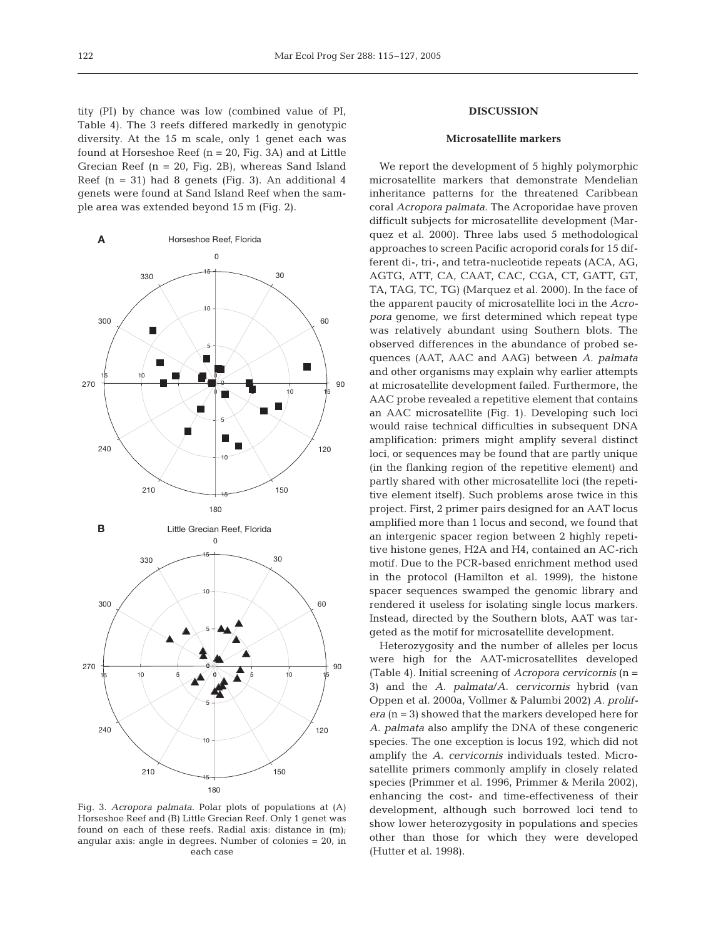tity (PI) by chance was low (combined value of PI, Table 4). The 3 reefs differed markedly in genotypic diversity. At the 15 m scale, only 1 genet each was found at Horseshoe Reef (n = 20, Fig. 3A) and at Little Grecian Reef (n = 20, Fig. 2B), whereas Sand Island Reef  $(n = 31)$  had 8 genets (Fig. 3). An additional 4 genets were found at Sand Island Reef when the sample area was extended beyond 15 m (Fig. 2).

Fig. 3. *Acropora palmata*. Polar plots of populations at (A) Horseshoe Reef and (B) Little Grecian Reef. Only 1 genet was found on each of these reefs. Radial axis: distance in (m); angular axis: angle in degrees. Number of colonies = 20, in each case

# **DISCUSSION**

# **Microsatellite markers**

We report the development of 5 highly polymorphic microsatellite markers that demonstrate Mendelian inheritance patterns for the threatened Caribbean coral *Acropora palmata*. The Acroporidae have proven difficult subjects for microsatellite development (Marquez et al. 2000). Three labs used 5 methodological approaches to screen Pacific acroporid corals for 15 different di-, tri-, and tetra-nucleotide repeats (ACA, AG, AGTG, ATT, CA, CAAT, CAC, CGA, CT, GATT, GT, TA, TAG, TC, TG) (Marquez et al. 2000). In the face of the apparent paucity of microsatellite loci in the *Acropora* genome, we first determined which repeat type was relatively abundant using Southern blots. The observed differences in the abundance of probed sequences (AAT, AAC and AAG) between *A. palmata* and other organisms may explain why earlier attempts at microsatellite development failed. Furthermore, the AAC probe revealed a repetitive element that contains an AAC microsatellite (Fig. 1). Developing such loci would raise technical difficulties in subsequent DNA amplification: primers might amplify several distinct loci, or sequences may be found that are partly unique (in the flanking region of the repetitive element) and partly shared with other microsatellite loci (the repetitive element itself). Such problems arose twice in this project. First, 2 primer pairs designed for an AAT locus amplified more than 1 locus and second, we found that an intergenic spacer region between 2 highly repetitive histone genes, H2A and H4, contained an AC-rich motif. Due to the PCR-based enrichment method used in the protocol (Hamilton et al. 1999), the histone spacer sequences swamped the genomic library and rendered it useless for isolating single locus markers. Instead, directed by the Southern blots, AAT was targeted as the motif for microsatellite development.

Heterozygosity and the number of alleles per locus were high for the AAT-microsatellites developed (Table 4). Initial screening of *Acropora cervicornis* (n = 3) and the *A. palmata*/*A. cervicornis* hybrid (van Oppen et al. 2000a, Vollmer & Palumbi 2002) *A. prolifera* (n = 3) showed that the markers developed here for *A. palmata* also amplify the DNA of these congeneric species. The one exception is locus 192, which did not amplify the *A. cervicornis* individuals tested. Microsatellite primers commonly amplify in closely related species (Primmer et al. 1996, Primmer & Merila 2002), enhancing the cost- and time-effectiveness of their development, although such borrowed loci tend to show lower heterozygosity in populations and species other than those for which they were developed (Hutter et al. 1998).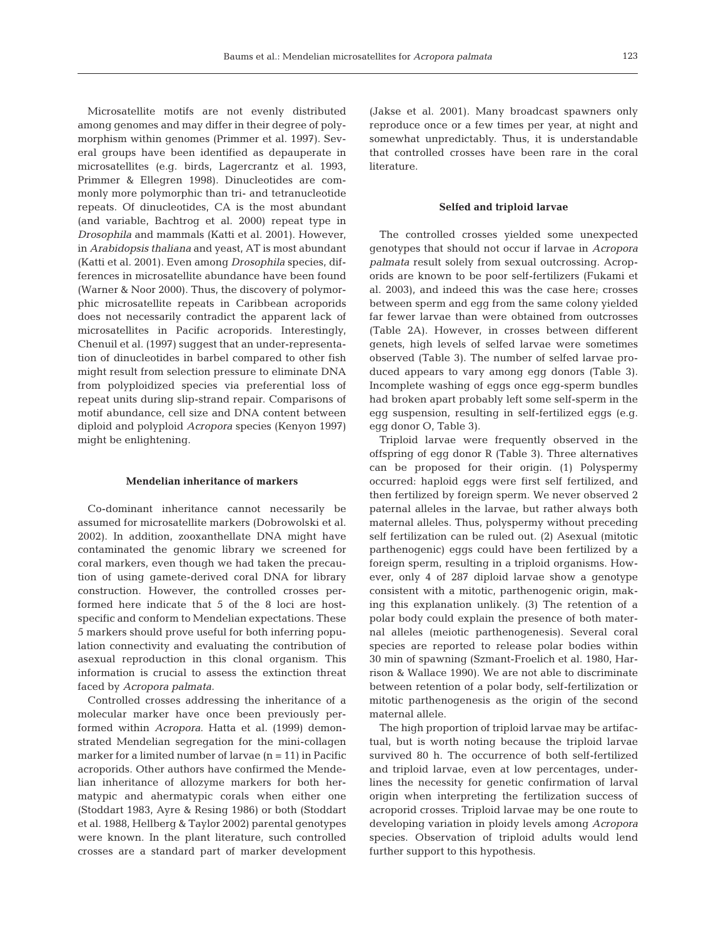Microsatellite motifs are not evenly distributed among genomes and may differ in their degree of polymorphism within genomes (Primmer et al. 1997). Several groups have been identified as depauperate in microsatellites (e.g. birds, Lagercrantz et al. 1993, Primmer & Ellegren 1998). Dinucleotides are commonly more polymorphic than tri- and tetranucleotide repeats. Of dinucleotides, CA is the most abundant (and variable, Bachtrog et al. 2000) repeat type in *Drosophila* and mammals (Katti et al. 2001). However, in *Arabidopsis thaliana* and yeast, AT is most abundant (Katti et al. 2001). Even among *Drosophila* species, differences in microsatellite abundance have been found (Warner & Noor 2000). Thus, the discovery of polymorphic microsatellite repeats in Caribbean acroporids does not necessarily contradict the apparent lack of microsatellites in Pacific acroporids. Interestingly, Chenuil et al. (1997) suggest that an under-representation of dinucleotides in barbel compared to other fish might result from selection pressure to eliminate DNA from polyploidized species via preferential loss of repeat units during slip-strand repair. Comparisons of motif abundance, cell size and DNA content between diploid and polyploid *Acropora* species (Kenyon 1997) might be enlightening.

#### **Mendelian inheritance of markers**

Co-dominant inheritance cannot necessarily be assumed for microsatellite markers (Dobrowolski et al. 2002). In addition, zooxanthellate DNA might have contaminated the genomic library we screened for coral markers, even though we had taken the precaution of using gamete-derived coral DNA for library construction. However, the controlled crosses performed here indicate that 5 of the 8 loci are hostspecific and conform to Mendelian expectations. These 5 markers should prove useful for both inferring population connectivity and evaluating the contribution of asexual reproduction in this clonal organism. This information is crucial to assess the extinction threat faced by *Acropora palmata*.

Controlled crosses addressing the inheritance of a molecular marker have once been previously performed within *Acropora*. Hatta et al. (1999) demonstrated Mendelian segregation for the mini-collagen marker for a limited number of larvae  $(n = 11)$  in Pacific acroporids. Other authors have confirmed the Mendelian inheritance of allozyme markers for both hermatypic and ahermatypic corals when either one (Stoddart 1983, Ayre & Resing 1986) or both (Stoddart et al. 1988, Hellberg & Taylor 2002) parental genotypes were known. In the plant literature, such controlled crosses are a standard part of marker development

(Jakse et al. 2001). Many broadcast spawners only reproduce once or a few times per year, at night and somewhat unpredictably. Thus, it is understandable that controlled crosses have been rare in the coral literature.

#### **Selfed and triploid larvae**

The controlled crosses yielded some unexpected genotypes that should not occur if larvae in *Acropora palmata* result solely from sexual outcrossing. Acroporids are known to be poor self-fertilizers (Fukami et al. 2003), and indeed this was the case here; crosses between sperm and egg from the same colony yielded far fewer larvae than were obtained from outcrosses (Table 2A). However, in crosses between different genets, high levels of selfed larvae were sometimes observed (Table 3). The number of selfed larvae produced appears to vary among egg donors (Table 3). Incomplete washing of eggs once egg-sperm bundles had broken apart probably left some self-sperm in the egg suspension, resulting in self-fertilized eggs (e.g. egg donor O, Table 3).

Triploid larvae were frequently observed in the offspring of egg donor R (Table 3). Three alternatives can be proposed for their origin. (1) Polyspermy occurred: haploid eggs were first self fertilized, and then fertilized by foreign sperm. We never observed 2 paternal alleles in the larvae, but rather always both maternal alleles. Thus, polyspermy without preceding self fertilization can be ruled out. (2) Asexual (mitotic parthenogenic) eggs could have been fertilized by a foreign sperm, resulting in a triploid organisms. However, only 4 of 287 diploid larvae show a genotype consistent with a mitotic, parthenogenic origin, making this explanation unlikely. (3) The retention of a polar body could explain the presence of both maternal alleles (meiotic parthenogenesis). Several coral species are reported to release polar bodies within 30 min of spawning (Szmant-Froelich et al. 1980, Harrison & Wallace 1990). We are not able to discriminate between retention of a polar body, self-fertilization or mitotic parthenogenesis as the origin of the second maternal allele.

The high proportion of triploid larvae may be artifactual, but is worth noting because the triploid larvae survived 80 h. The occurrence of both self-fertilized and triploid larvae, even at low percentages, underlines the necessity for genetic confirmation of larval origin when interpreting the fertilization success of acroporid crosses. Triploid larvae may be one route to developing variation in ploidy levels among *Acropora* species. Observation of triploid adults would lend further support to this hypothesis.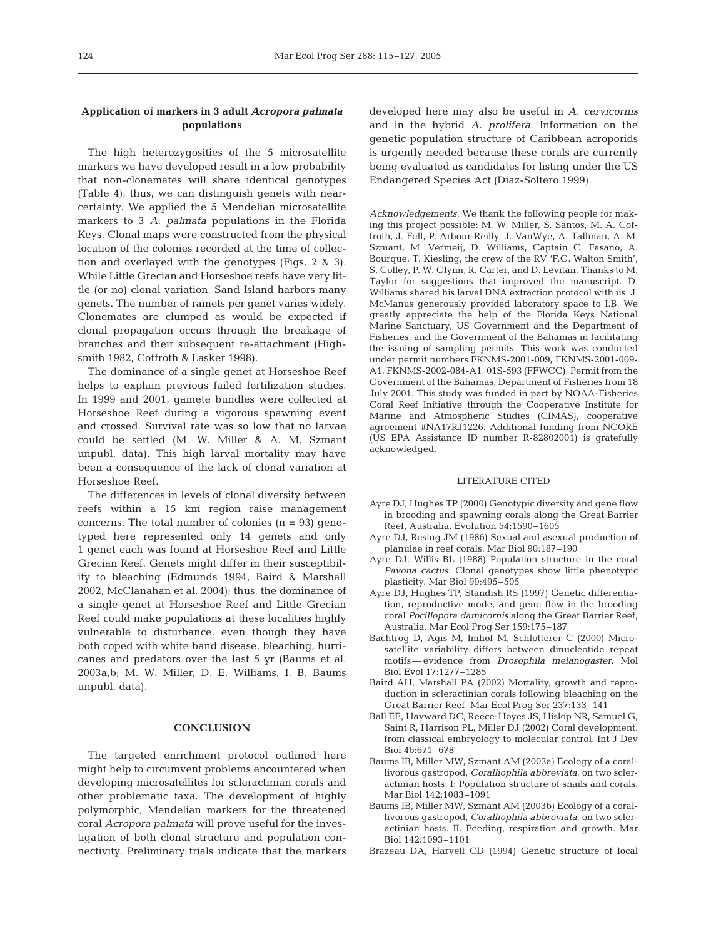# **Application of markers in 3 adult** *Acropora palmata* **populations**

The high heterozygosities of the 5 microsatellite markers we have developed result in a low probability that non-clonemates will share identical genotypes (Table 4); thus, we can distinguish genets with nearcertainty. We applied the 5 Mendelian microsatellite markers to 3 *A. palmata* populations in the Florida Keys. Clonal maps were constructed from the physical location of the colonies recorded at the time of collection and overlayed with the genotypes (Figs. 2 & 3). While Little Grecian and Horseshoe reefs have very little (or no) clonal variation, Sand Island harbors many genets. The number of ramets per genet varies widely. Clonemates are clumped as would be expected if clonal propagation occurs through the breakage of branches and their subsequent re-attachment (Highsmith 1982, Coffroth & Lasker 1998).

The dominance of a single genet at Horseshoe Reef helps to explain previous failed fertilization studies. In 1999 and 2001, gamete bundles were collected at Horseshoe Reef during a vigorous spawning event and crossed. Survival rate was so low that no larvae could be settled (M. W. Miller & A. M. Szmant unpubl. data). This high larval mortality may have been a consequence of the lack of clonal variation at Horseshoe Reef.

The differences in levels of clonal diversity between reefs within a 15 km region raise management concerns. The total number of colonies  $(n = 93)$  genotyped here represented only 14 genets and only 1 genet each was found at Horseshoe Reef and Little Grecian Reef. Genets might differ in their susceptibility to bleaching (Edmunds 1994, Baird & Marshall 2002, McClanahan et al. 2004); thus, the dominance of a single genet at Horseshoe Reef and Little Grecian Reef could make populations at these localities highly vulnerable to disturbance, even though they have both coped with white band disease, bleaching, hurricanes and predators over the last 5 yr (Baums et al. 2003a,b; M. W. Miller, D. E. Williams, I. B. Baums unpubl. data).

# **CONCLUSION**

The targeted enrichment protocol outlined here might help to circumvent problems encountered when developing microsatellites for scleractinian corals and other problematic taxa. The development of highly polymorphic, Mendelian markers for the threatened coral *Acropora palmata* will prove useful for the investigation of both clonal structure and population connectivity. Preliminary trials indicate that the markers

developed here may also be useful in *A. cervicornis* and in the hybrid *A. prolifera*. Information on the genetic population structure of Caribbean acroporids is urgently needed because these corals are currently being evaluated as candidates for listing under the US Endangered Species Act (Diaz-Soltero 1999).

*Acknowledgements*. We thank the following people for making this project possible: M. W. Miller, S. Santos, M. A. Coffroth, J. Fell, P. Arbour-Reilly, J. VanWye, A. Tallman, A. M. Szmant, M. Vermeij, D. Williams, Captain C. Fasano, A. Bourque, T. Kiesling, the crew of the RV 'F.G. Walton Smith', S. Colley, P. W. Glynn, R. Carter, and D. Levitan. Thanks to M. Taylor for suggestions that improved the manuscript. D. Williams shared his larval DNA extraction protocol with us. J. McManus generously provided laboratory space to I.B. We greatly appreciate the help of the Florida Keys National Marine Sanctuary, US Government and the Department of Fisheries, and the Government of the Bahamas in facilitating the issuing of sampling permits. This work was conducted under permit numbers FKNMS-2001-009, FKNMS-2001-009- A1, FKNMS-2002-084-A1, 01S-593 (FFWCC), Permit from the Government of the Bahamas, Department of Fisheries from 18 July 2001. This study was funded in part by NOAA-Fisheries Coral Reef Initiative through the Cooperative Institute for Marine and Atmospheric Studies (CIMAS), cooperative agreement #NA17RJ1226. Additional funding from NCORE (US EPA Assistance ID number R-82802001) is gratefully acknowledged.

#### LITERATURE CITED

- Ayre DJ, Hughes TP (2000) Genotypic diversity and gene flow in brooding and spawning corals along the Great Barrier Reef, Australia. Evolution 54:1590–1605
- Ayre DJ, Resing JM (1986) Sexual and asexual production of planulae in reef corals. Mar Biol 90:187–190
- Ayre DJ, Willis BL (1988) Population structure in the coral *Pavona cactus*: Clonal genotypes show little phenotypic plasticity. Mar Biol 99:495–505
- Ayre DJ, Hughes TP, Standish RS (1997) Genetic differentiation, reproductive mode, and gene flow in the brooding coral *Pocillopora damicornis* along the Great Barrier Reef, Australia. Mar Ecol Prog Ser 159:175–187
- Bachtrog D, Agis M, Imhof M, Schlotterer C (2000) Microsatellite variability differs between dinucleotide repeat motifs— evidence from *Drosophila melanogaster*. Mol Biol Evol 17:1277–1285
- Baird AH, Marshall PA (2002) Mortality, growth and reproduction in scleractinian corals following bleaching on the Great Barrier Reef. Mar Ecol Prog Ser 237:133–141
- Ball EE, Hayward DC, Reece-Hoyes JS, Hislop NR, Samuel G, Saint R, Harrison PL, Miller DJ (2002) Coral development: from classical embryology to molecular control. Int J Dev Biol 46:671–678
- Baums IB, Miller MW, Szmant AM (2003a) Ecology of a corallivorous gastropod, *Coralliophila abbreviata*, on two scleractinian hosts. I: Population structure of snails and corals. Mar Biol 142:1083–1091
- Baums IB, Miller MW, Szmant AM (2003b) Ecology of a corallivorous gastropod, *Coralliophila abbreviata*, on two scleractinian hosts. II. Feeding, respiration and growth. Mar Biol 142:1093–1101
- Brazeau DA, Harvell CD (1994) Genetic structure of local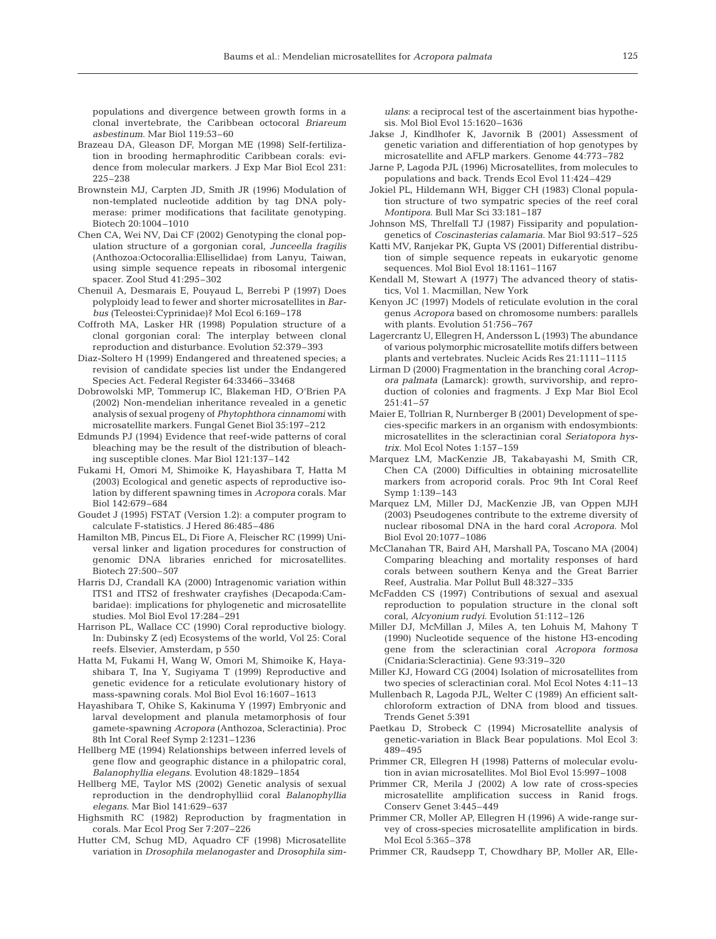populations and divergence between growth forms in a clonal invertebrate, the Caribbean octocoral *Briareum asbestinum*. Mar Biol 119:53–60

- Brazeau DA, Gleason DF, Morgan ME (1998) Self-fertilization in brooding hermaphroditic Caribbean corals: evidence from molecular markers. J Exp Mar Biol Ecol 231: 225–238
- Brownstein MJ, Carpten JD, Smith JR (1996) Modulation of non-templated nucleotide addition by tag DNA polymerase: primer modifications that facilitate genotyping. Biotech 20:1004–1010
- Chen CA, Wei NV, Dai CF (2002) Genotyping the clonal population structure of a gorgonian coral, *Junceella fragilis* (Anthozoa:Octocorallia:Ellisellidae) from Lanyu, Taiwan, using simple sequence repeats in ribosomal intergenic spacer. Zool Stud 41:295–302
- Chenuil A, Desmarais E, Pouyaud L, Berrebi P (1997) Does polyploidy lead to fewer and shorter microsatellites in *Barbus* (Teleostei:Cyprinidae)? Mol Ecol 6:169–178
- Coffroth MA, Lasker HR (1998) Population structure of a clonal gorgonian coral: The interplay between clonal reproduction and disturbance. Evolution 52:379–393
- Diaz-Soltero H (1999) Endangered and threatened species; a revision of candidate species list under the Endangered Species Act. Federal Register 64:33466–33468
- Dobrowolski MP, Tommerup IC, Blakeman HD, O'Brien PA (2002) Non-mendelian inheritance revealed in a genetic analysis of sexual progeny of *Phytophthora cinnamomi* with microsatellite markers. Fungal Genet Biol 35:197–212
- Edmunds PJ (1994) Evidence that reef-wide patterns of coral bleaching may be the result of the distribution of bleaching susceptible clones. Mar Biol 121:137–142
- Fukami H, Omori M, Shimoike K, Hayashibara T, Hatta M (2003) Ecological and genetic aspects of reproductive isolation by different spawning times in *Acropora* corals. Mar Biol 142:679–684
- Goudet J (1995) FSTAT (Version 1.2): a computer program to calculate F-statistics. J Hered 86:485–486
- Hamilton MB, Pincus EL, Di Fiore A, Fleischer RC (1999) Universal linker and ligation procedures for construction of genomic DNA libraries enriched for microsatellites. Biotech 27:500–507
- Harris DJ, Crandall KA (2000) Intragenomic variation within ITS1 and ITS2 of freshwater crayfishes (Decapoda:Cambaridae): implications for phylogenetic and microsatellite studies. Mol Biol Evol 17:284–291
- Harrison PL, Wallace CC (1990) Coral reproductive biology. In: Dubinsky Z (ed) Ecosystems of the world, Vol 25: Coral reefs. Elsevier, Amsterdam, p 550
- Hatta M, Fukami H, Wang W, Omori M, Shimoike K, Hayashibara T, Ina Y, Sugiyama T (1999) Reproductive and genetic evidence for a reticulate evolutionary history of mass-spawning corals. Mol Biol Evol 16:1607–1613
- Hayashibara T, Ohike S, Kakinuma Y (1997) Embryonic and larval development and planula metamorphosis of four gamete-spawning *Acropora* (Anthozoa, Scleractinia). Proc 8th Int Coral Reef Symp 2:1231–1236
- Hellberg ME (1994) Relationships between inferred levels of gene flow and geographic distance in a philopatric coral, *Balanophyllia elegans*. Evolution 48:1829–1854
- Hellberg ME, Taylor MS (2002) Genetic analysis of sexual reproduction in the dendrophylliid coral *Balanophyllia elegans*. Mar Biol 141:629–637
- Highsmith RC (1982) Reproduction by fragmentation in corals. Mar Ecol Prog Ser 7:207–226
- Hutter CM, Schug MD, Aquadro CF (1998) Microsatellite variation in *Drosophila melanogaster* and *Drosophila sim-*

*ulans*: a reciprocal test of the ascertainment bias hypothesis. Mol Biol Evol 15:1620–1636

- Jakse J, Kindlhofer K, Javornik B (2001) Assessment of genetic variation and differentiation of hop genotypes by microsatellite and AFLP markers. Genome 44:773–782
- Jarne P, Lagoda PJL (1996) Microsatellites, from molecules to populations and back. Trends Ecol Evol 11:424–429
- Jokiel PL, Hildemann WH, Bigger CH (1983) Clonal population structure of two sympatric species of the reef coral *Montipora*. Bull Mar Sci 33:181–187
- Johnson MS, Threlfall TJ (1987) Fissiparity and populationgenetics of *Coscinasterias calamaria*. Mar Biol 93:517–525
- Katti MV, Ranjekar PK, Gupta VS (2001) Differential distribution of simple sequence repeats in eukaryotic genome sequences. Mol Biol Evol 18:1161–1167
- Kendall M, Stewart A (1977) The advanced theory of statistics, Vol 1. Macmillan, New York
- Kenyon JC (1997) Models of reticulate evolution in the coral genus *Acropora* based on chromosome numbers: parallels with plants. Evolution 51:756–767
- Lagercrantz U, Ellegren H, Andersson L (1993) The abundance of various polymorphic microsatellite motifs differs between plants and vertebrates. Nucleic Acids Res 21:1111–1115
- Lirman D (2000) Fragmentation in the branching coral *Acropora palmata* (Lamarck): growth, survivorship, and reproduction of colonies and fragments. J Exp Mar Biol Ecol  $2.51:41 - 57$
- Maier E, Tollrian R, Nurnberger B (2001) Development of species-specific markers in an organism with endosymbionts: microsatellites in the scleractinian coral *Seriatopora hystrix*. Mol Ecol Notes 1:157–159
- Marquez LM, MacKenzie JB, Takabayashi M, Smith CR, Chen CA (2000) Difficulties in obtaining microsatellite markers from acroporid corals. Proc 9th Int Coral Reef Symp 1:139–143
- Marquez LM, Miller DJ, MacKenzie JB, van Oppen MJH (2003) Pseudogenes contribute to the extreme diversity of nuclear ribosomal DNA in the hard coral *Acropora*. Mol Biol Evol 20:1077–1086
- McClanahan TR, Baird AH, Marshall PA, Toscano MA (2004) Comparing bleaching and mortality responses of hard corals between southern Kenya and the Great Barrier Reef, Australia. Mar Pollut Bull 48:327–335
- McFadden CS (1997) Contributions of sexual and asexual reproduction to population structure in the clonal soft coral, *Alcyonium rudyi*. Evolution 51:112–126
- Miller DJ, McMillan J, Miles A, ten Lohuis M, Mahony T (1990) Nucleotide sequence of the histone H3-encoding gene from the scleractinian coral *Acropora formosa* (Cnidaria:Scleractinia). Gene 93:319–320
- Miller KJ, Howard CG (2004) Isolation of microsatellites from two species of scleractinian coral. Mol Ecol Notes 4:11–13
- Mullenbach R, Lagoda PJL, Welter C (1989) An efficient saltchloroform extraction of DNA from blood and tissues. Trends Genet 5:391
- Paetkau D, Strobeck C (1994) Microsatellite analysis of genetic-variation in Black Bear populations. Mol Ecol 3: 489–495
- Primmer CR, Ellegren H (1998) Patterns of molecular evolution in avian microsatellites. Mol Biol Evol 15:997–1008
- Primmer CR, Merila J (2002) A low rate of cross-species microsatellite amplification success in Ranid frogs. Conserv Genet 3:445–449
- Primmer CR, Moller AP, Ellegren H (1996) A wide-range survey of cross-species microsatellite amplification in birds. Mol Ecol 5:365–378
- Primmer CR, Raudsepp T, Chowdhary BP, Moller AR, Elle-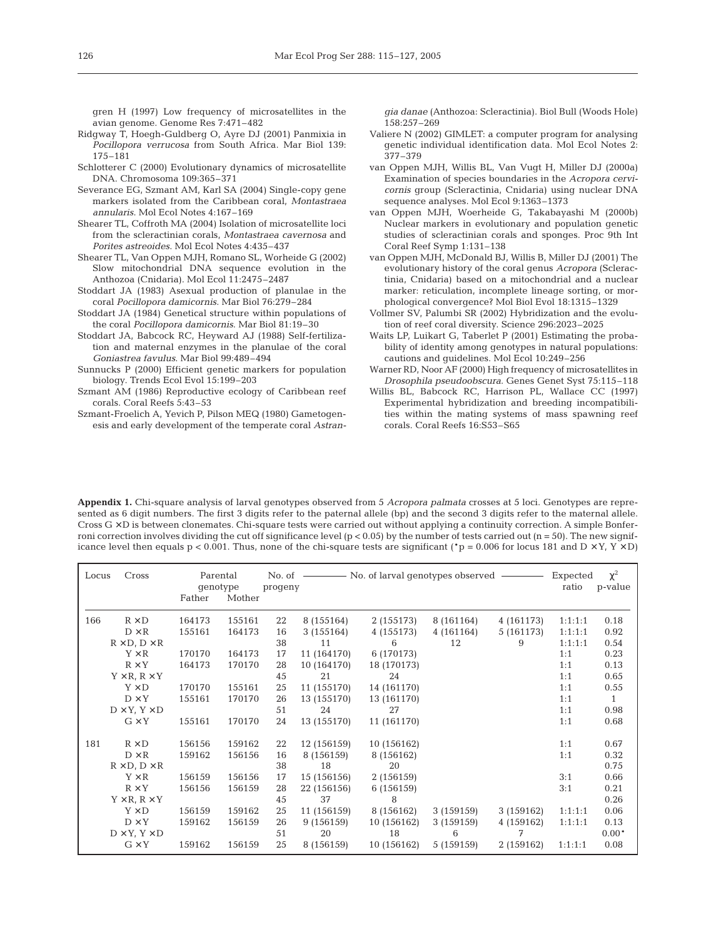gren H (1997) Low frequency of microsatellites in the avian genome. Genome Res 7:471–482

- Ridgway T, Hoegh-Guldberg O, Ayre DJ (2001) Panmixia in *Pocillopora verrucosa* from South Africa. Mar Biol 139: 175–181
- Schlotterer C (2000) Evolutionary dynamics of microsatellite DNA. Chromosoma 109:365–371
- Severance EG, Szmant AM, Karl SA (2004) Single-copy gene markers isolated from the Caribbean coral, *Montastraea annularis*. Mol Ecol Notes 4:167–169
- Shearer TL, Coffroth MA (2004) Isolation of microsatellite loci from the scleractinian corals, *Montastraea cavernosa* and *Porites astreoides*. Mol Ecol Notes 4:435–437
- Shearer TL, Van Oppen MJH, Romano SL, Worheide G (2002) Slow mitochondrial DNA sequence evolution in the Anthozoa (Cnidaria). Mol Ecol 11:2475–2487
- Stoddart JA (1983) Asexual production of planulae in the coral *Pocillopora damicornis*. Mar Biol 76:279–284
- Stoddart JA (1984) Genetical structure within populations of the coral *Pocillopora damicornis*. Mar Biol 81:19–30
- Stoddart JA, Babcock RC, Heyward AJ (1988) Self-fertilization and maternal enzymes in the planulae of the coral *Goniastrea favulus*. Mar Biol 99:489–494
- Sunnucks P (2000) Efficient genetic markers for population biology. Trends Ecol Evol 15:199–203
- Szmant AM (1986) Reproductive ecology of Caribbean reef corals. Coral Reefs 5:43–53
- Szmant-Froelich A, Yevich P, Pilson MEQ (1980) Gametogenesis and early development of the temperate coral *Astran-*

*gia danae* (Anthozoa: Scleractinia). Biol Bull (Woods Hole) 158:257–269

- Valiere N (2002) GIMLET: a computer program for analysing genetic individual identification data. Mol Ecol Notes 2: 377–379
- van Oppen MJH, Willis BL, Van Vugt H, Miller DJ (2000a) Examination of species boundaries in the *Acropora cervicornis* group (Scleractinia, Cnidaria) using nuclear DNA sequence analyses. Mol Ecol 9:1363–1373
- van Oppen MJH, Woerheide G, Takabayashi M (2000b) Nuclear markers in evolutionary and population genetic studies of scleractinian corals and sponges. Proc 9th Int Coral Reef Symp 1:131–138
- van Oppen MJH, McDonald BJ, Willis B, Miller DJ (2001) The evolutionary history of the coral genus *Acropora* (Scleractinia, Cnidaria) based on a mitochondrial and a nuclear marker: reticulation, incomplete lineage sorting, or morphological convergence? Mol Biol Evol 18:1315–1329
- Vollmer SV, Palumbi SR (2002) Hybridization and the evolution of reef coral diversity. Science 296:2023–2025
- Waits LP, Luikart G, Taberlet P (2001) Estimating the probability of identity among genotypes in natural populations: cautions and guidelines. Mol Ecol 10:249–256
- Warner RD, Noor AF (2000) High frequency of microsatellites in *Drosophila pseudoobscura*. Genes Genet Syst 75:115–118
- Willis BL, Babcock RC, Harrison PL, Wallace CC (1997) Experimental hybridization and breeding incompatibilities within the mating systems of mass spawning reef corals. Coral Reefs 16:S53–S65

**Appendix 1.** Chi-square analysis of larval genotypes observed from 5 *Acropora palmata* crosses at 5 loci. Genotypes are represented as 6 digit numbers. The first 3 digits refer to the paternal allele (bp) and the second 3 digits refer to the maternal allele. Cross  $G \times D$  is between clonemates. Chi-square tests were carried out without applying a continuity correction. A simple Bonferroni correction involves dividing the cut off significance level  $(p < 0.05)$  by the number of tests carried out  $(n = 50)$ . The new significance level then equals  $p < 0.001$ . Thus, none of the chi-square tests are significant (\*p = 0.006 for locus 181 and D × Y, Y × D)

| Locus | Cross                       | Father | Parental<br>qenotype<br>Mother | progeny |             | No. of $\longrightarrow$ No. of larval genotypes observed |            |            | Expected<br>ratio | $\chi^2$<br>p-value |
|-------|-----------------------------|--------|--------------------------------|---------|-------------|-----------------------------------------------------------|------------|------------|-------------------|---------------------|
| 166   | $R \times D$                | 164173 | 155161                         | 22      | 8 (155164)  | 2 (155173)                                                | 8 (161164) | 4 (161173) | 1:1:1:1           | 0.18                |
|       | $D \times R$                | 155161 | 164173                         | 16      | 3(155164)   | 4 (155173)                                                | 4 (161164) | 5 (161173) | 1:1:1:1           | 0.92                |
|       | $R \times D$ , $D \times R$ |        |                                | 38      | 11          | 6                                                         | 12         | 9          | 1:1:1:1           | 0.54                |
|       | $Y \times R$                | 170170 | 164173                         | 17      | 11 (164170) | 6 (170173)                                                |            |            | 1:1               | 0.23                |
|       | $R \times Y$                | 164173 | 170170                         | 28      | 10 (164170) | 18 (170173)                                               |            |            | 1:1               | 0.13                |
|       | $Y \times R$ , $R \times Y$ |        |                                | 45      | 21          | 24                                                        |            |            | 1:1               | 0.65                |
|       | $Y \times D$                | 170170 | 155161                         | 25      | 11 (155170) | 14 (161170)                                               |            |            | 1:1               | 0.55                |
|       | $D \times Y$                | 155161 | 170170                         | 26      | 13 (155170) | 13 (161170)                                               |            |            | 1:1               | $\mathbf{1}$        |
|       | $D \times Y$ , $Y \times D$ |        |                                | 51      | 24          | 27                                                        |            |            | 1:1               | 0.98                |
|       | $G \times Y$                | 155161 | 170170                         | 24      | 13 (155170) | 11 (161170)                                               |            |            | 1:1               | 0.68                |
| 181   | $R \times D$                | 156156 | 159162                         | 22      | 12 (156159) | 10 (156162)                                               |            |            | 1:1               | 0.67                |
|       | $D \times R$                | 159162 | 156156                         | 16      | 8 (156159)  | 8 (156162)                                                |            |            | 1:1               | 0.32                |
|       | $R \times D$ , $D \times R$ |        |                                | 38      | 18          | 20                                                        |            |            |                   | 0.75                |
|       | $Y \times R$                | 156159 | 156156                         | 17      | 15 (156156) | 2 (156159)                                                |            |            | 3:1               | 0.66                |
|       | $R \times Y$                | 156156 | 156159                         | 28      | 22 (156156) | 6 (156159)                                                |            |            | 3:1               | 0.21                |
|       | $Y \times R$ , $R \times Y$ |        |                                | 45      | 37          | 8                                                         |            |            |                   | 0.26                |
|       | $Y \times D$                | 156159 | 159162                         | 25      | 11 (156159) | 8 (156162)                                                | 3 (159159) | 3(159162)  | 1:1:1:1           | 0.06                |
|       | $D \times Y$                | 159162 | 156159                         | 26      | 9 (156159)  | 10 (156162)                                               | 3 (159159) | 4 (159162) | 1:1:1:1           | 0.13                |
|       | $D \times Y$ , $Y \times D$ |        |                                | 51      | 20          | 18                                                        | 6          | 7          |                   | $0.00*$             |
|       | $G \times Y$                | 159162 | 156159                         | 25      | 8 (156159)  | 10 (156162)                                               | 5 (159159) | 2 (159162) | 1:1:1:1           | 0.08                |